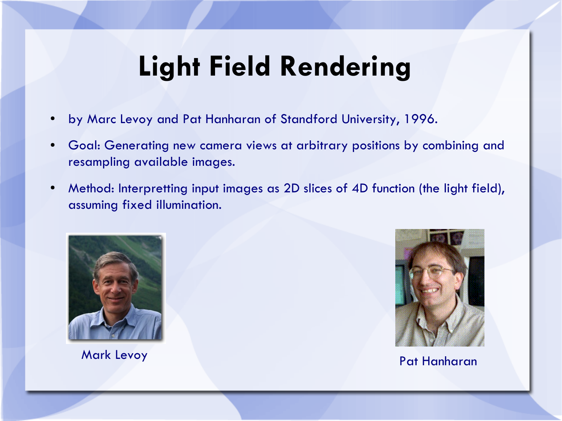## **Light Field Rendering**

- by Marc Levoy and Pat Hanharan of Standford University, 1996.
- Goal: Generating new camera views at arbitrary positions by combining and resampling available images.
- Method: Interpretting input images as 2D slices of 4D function (the light field), assuming fixed illumination.



Mark Levoy Pat Hanharan

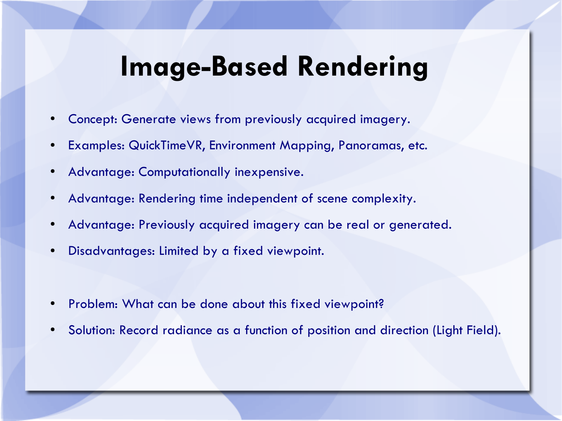#### **Image-Based Rendering**

- Concept: Generate views from previously acquired imagery.
- Examples: QuickTimeVR, Environment Mapping, Panoramas, etc.
- Advantage: Computationally inexpensive.
- Advantage: Rendering time independent of scene complexity.
- Advantage: Previously acquired imagery can be real or generated.
- Disadvantages: Limited by a fixed viewpoint.
- Problem: What can be done about this fixed viewpoint?
- Solution: Record radiance as a function of position and direction (Light Field).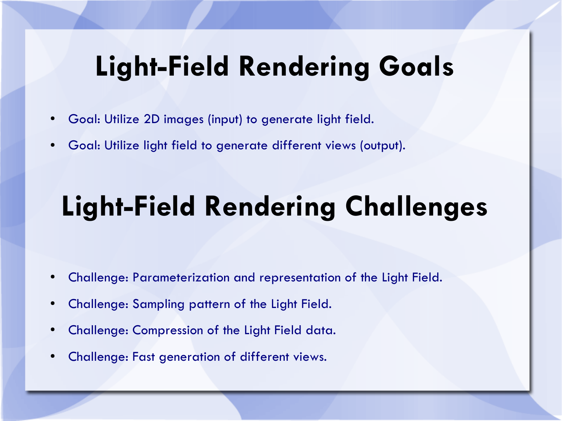## **Light-Field Rendering Goals**

- Goal: Utilize 2D images (input) to generate light field.
- Goal: Utilize light field to generate different views (output).

# **Light-Field Rendering Challenges**

- Challenge: Parameterization and representation of the Light Field.
- Challenge: Sampling pattern of the Light Field.
- Challenge: Compression of the Light Field data.
- Challenge: Fast generation of different views.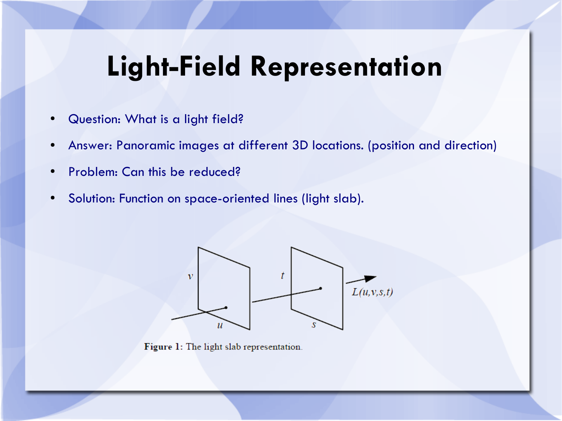## **Light-Field Representation**

- Question: What is a light field?
- Answer: Panoramic images at different 3D locations. (position and direction)
- Problem: Can this be reduced?
- Solution: Function on space-oriented lines (light slab).



Figure 1: The light slab representation.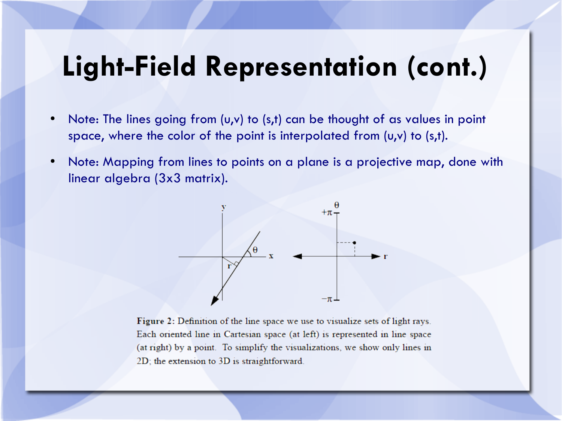#### **Light-Field Representation (cont.)**

- Note: The lines going from (u,v) to (s,t) can be thought of as values in point space, where the color of the point is interpolated from (u,v) to (s,t).
- Note: Mapping from lines to points on a plane is a projective map, done with linear algebra (3x3 matrix).



Figure 2: Definition of the line space we use to visualize sets of light rays. Each oriented line in Cartesian space (at left) is represented in line space (at right) by a point. To simplify the visualizations, we show only lines in 2D; the extension to 3D is straightforward.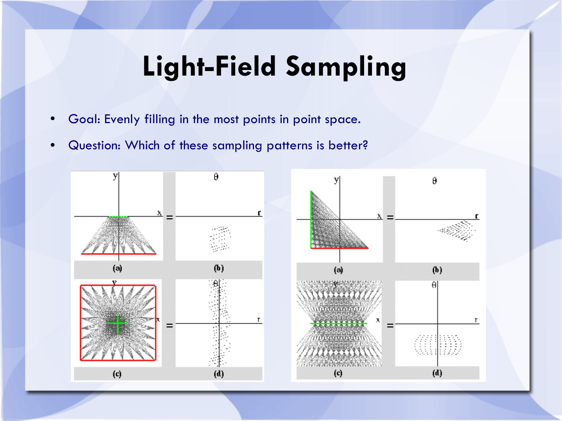## **Light-Field Sampling**

- Goal: Evenly filling in the most points in point space.
- Question: Which of these sampling patterns is better?

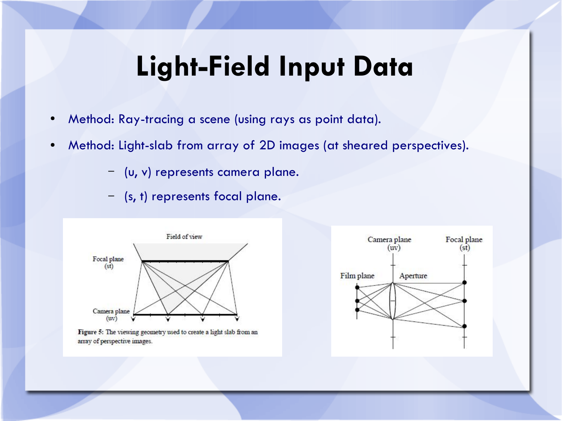#### **Light-Field Input Data**

- Method: Ray-tracing a scene (using rays as point data).
- Method: Light-slab from array of 2D images (at sheared perspectives).
	- (u, v) represents camera plane.
	- (s, t) represents focal plane.



Figure 5: The viewing geometry used to create a light slab from an array of perspective images.

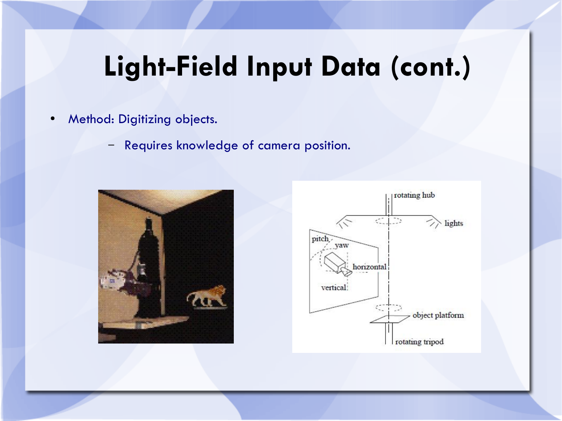## **Light-Field Input Data (cont.)**

- Method: Digitizing objects.
	- Requires knowledge of camera position.



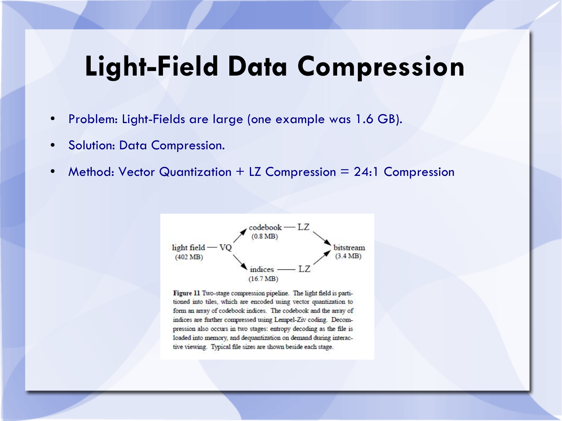#### **Light-Field Data Compression**

- Problem: Light-Fields are large (one example was 1.6 GB).
- Solution: Data Compression.
- Method: Vector Quantization + LZ Compression =  $24:1$  Compression



Figure 11 Two-stage compression pipeline. The light field is partitioned into tiles, which are encoded using vector quantization to form an array of codebook indices. The codebook and the array of indices are further compressed using Lempel-Ziv coding. Decompression also occurs in two stages: entropy decoding as the file is loaded into memory, and dequantization on demand during interactive viewing. Typical file sizes are shown beside each stage.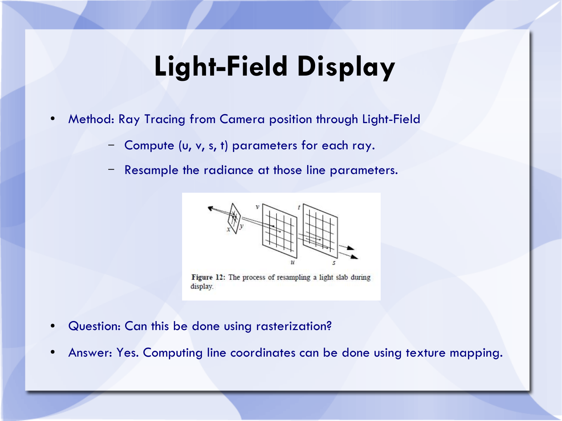### **Light-Field Display**

- Method: Ray Tracing from Camera position through Light-Field
	- Compute (u, v, s, t) parameters for each ray.
	- Resample the radiance at those line parameters.



Figure 12: The process of resampling a light slab during display.

- Question: Can this be done using rasterization?
- Answer: Yes. Computing line coordinates can be done using texture mapping.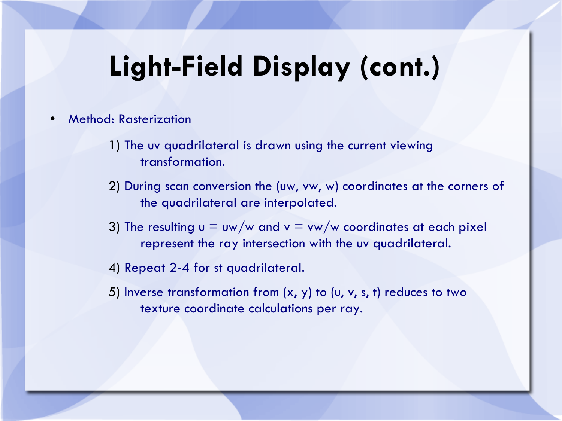## **Light-Field Display (cont.)**

- Method: Rasterization
	- 1) The uv quadrilateral is drawn using the current viewing transformation.
	- 2) During scan conversion the (uw, vw, w) coordinates at the corners of the quadrilateral are interpolated.
	- 3) The resulting  $u = uw/w$  and  $v = vw/w$  coordinates at each pixel represent the ray intersection with the uv quadrilateral.
	- 4) Repeat 2-4 for st quadrilateral.
	- 5) Inverse transformation from  $(x, y)$  to  $(u, v, s, t)$  reduces to two texture coordinate calculations per ray.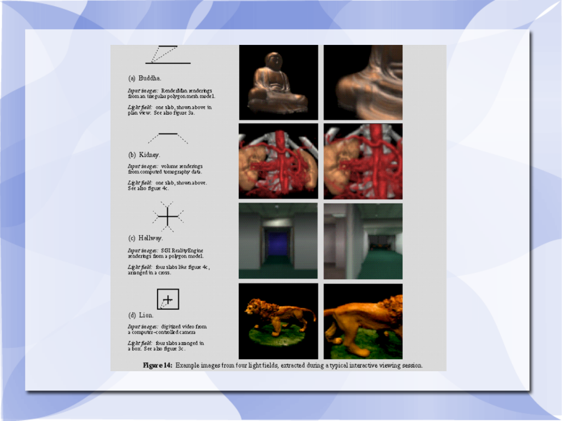#### (a) Buddha.

*Input images*: Rende zMan renderings<br>from an izregular polygon mesh model.

Light field: one slab, shown above in<br>plan view. See also figure 3a.



(b) Kidney.

Input in ages: volume renderings<br>from computed tomography data.

Light field: one shb, shown above.<br>See also figure 4c.



(c) Hallway.

Input in  $\log s$ : SGI Reality Engine<br>winderings from a polygon model.

 $L\ddot{\textbf{x}}$  at field: four slabs like figure 4c, arminged in a cross.



(d) Lion.

*Input images:* digitized video from<br>a computer-controlled camera

*Light field*: four slabs a rainged in<br>a box. See also figure 3c.













Figure 14: Example images from four light fields, extracted during a typical interactive viewing session.